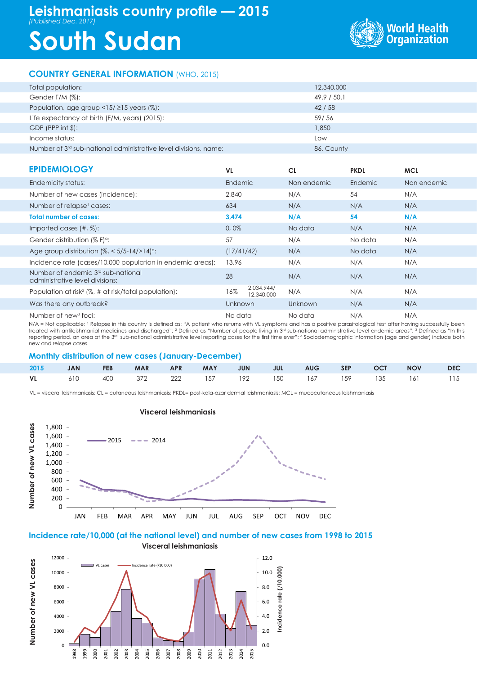## **Leishmaniasis country profile — 2015** *(Published Dec. 2017)*

# **South Sudan**



#### **COUNTRY GENERAL INFORMATION** (WHO, 2015)

| Total population:                                                            | 12,340,000  |
|------------------------------------------------------------------------------|-------------|
| Gender F/M (%):                                                              | 49.9 / 50.1 |
| Population, age group $\langle 15/215 \rangle$ years (%):                    | 42/58       |
| Life expectancy at birth (F/M, years) (2015):                                | 59/56       |
| $GDP$ (PPP int $\frac{1}{2}$ ):                                              | 1,850       |
| Income status:                                                               | Low         |
| Number of 3 <sup>rd</sup> sub-national administrative level divisions, name: | 86, County  |

| <b>EPIDEMIOLOGY</b>                                                               | VL.                             | <b>CL</b>   | <b>PKDL</b> | <b>MCL</b>  |
|-----------------------------------------------------------------------------------|---------------------------------|-------------|-------------|-------------|
| Endemicity status:                                                                | Endemic                         | Non endemic | Endemic     | Non endemic |
| Number of new cases (incidence):                                                  | 2.840                           | N/A         | 54          | N/A         |
| Number of relapse <sup>1</sup> cases:                                             | 634                             | N/A         | N/A         | N/A         |
| <b>Total number of cases:</b>                                                     | 3.474                           | N/A         | 54          | N/A         |
| Imported cases $(\#, \%)$ :                                                       | 0.0%                            | No data     | N/A         | N/A         |
| Gender distribution (% F) <sup>o</sup> :                                          | 57                              | N/A         | No data     | N/A         |
| Age group distribution $\frac{1}{6}$ < 5/5-14/>14) <sup>o</sup> :                 | (17/41/42)                      | N/A         | No data     | N/A         |
| Incidence rate (cases/10,000 population in endemic areas):                        | 13.96                           | N/A         | N/A         | N/A         |
| Number of endemic 3 <sup>rd</sup> sub-national<br>administrative level divisions: | 28                              | N/A         | N/A         | N/A         |
| Population at risk <sup>2</sup> ( $\%$ , # at risk/total population):             | 2,034,944/<br>16%<br>12,340,000 | N/A         | N/A         | N/A         |
| Was there any outbreak?                                                           | <b>Unknown</b>                  | Unknown     | N/A         | N/A         |
| Number of new <sup>3</sup> foci:                                                  | No data                         | No data     | N/A         | N/A         |

N/A = Not applicable; <sup>1</sup> Relapse in this country is defined as: "A patient who returns with VL symptoms and has a positive parasitological test after having successfully been<br>treated with antileishmanial medicines and dis reporting period, an area at the 3<sup>rd</sup> sub-national administrative level reporting cases for the first time ever"; <sup>a</sup> Sociodemographic information (age and gender) include both new and relapse cases.

#### **Monthly distribution of new cases (January-December)**

|  |  |  |  |  | 2015 JAN FEB MAR APR MAY JUN JUL AUG SEP OCT NOV DEC      |  |
|--|--|--|--|--|-----------------------------------------------------------|--|
|  |  |  |  |  | <b>VL</b> 610 400 372 222 157 192 150 167 159 135 161 115 |  |

VL = visceral leishmaniasis; CL = cutaneous leishmaniasis; PKDL= post-kala-azar dermal leishmaniasis; MCL = mucocutaneous leishmaniasis



#### **Visceral leishmaniasis**

#### **Incidence rate/10,000 (at the national level) and number of new cases from 1998 to 2015 Visceral leishmaniasis**